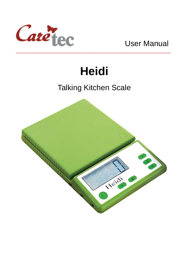

# **Heidi**

## Talking Kitchen Scale

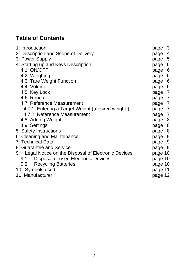## **Table of Contents**

| 1: Introduction                                       | page 3  |
|-------------------------------------------------------|---------|
| 2: Description and Scope of Delivery                  | page 4  |
| 3: Power Supply                                       | page 5  |
| 4: Starting up and Keys Description                   | page 6  |
| 4.1: ON/OFF                                           | page 6  |
| 4.2: Weighing                                         | page 6  |
| 4.3: Tare Weight Function                             | page 6  |
| 4.4: Volume                                           | page 6  |
| 4.5: Key Lock                                         | page 7  |
| 4.6: Repeat                                           | page 7  |
| 4.7: Reference Measurement                            | page 7  |
| 4.7.1: Entering a Target Weight ("desired weight")    | page 7  |
| 4.7.2: Reference Measurement                          | page 7  |
| 4.8: Adding Weight                                    | page 8  |
| 4.9: Settings                                         | page 8  |
| 5: Safety Instructions                                | page 8  |
| 6: Cleaning and Maintenance                           | page 9  |
| 7: Technical Data                                     | page 9  |
| 8: Guarantee and Service                              | page 9  |
| 9: Legal Notice on the Disposal of Electronic Devices | page 10 |
| 9.1: Disposal of used Electronic Devices              | page 10 |
| 9.2: Recycling Batteries                              | page 10 |
| 10: Symbols used                                      | page 11 |
| 11: Manufacturer                                      | page 12 |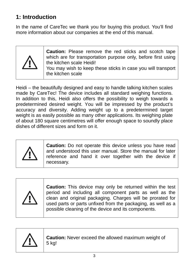## **1: Introduction**

In the name of CareTec we thank you for buying this product. You'll find more information about our companies at the end of this manual.



**Caution:** Please remove the red sticks and scotch tape which are for transportation purpose only, before first using the kitchen scale Heidi! You may wish to keep these sticks in case you will transport

the kitchen scale

Heidi – the beautifully designed and easy to handle talking kitchen scales made by CareTec! The device includes all standard weighing functions. In addition to this, Heidi also offers the possibility to weigh towards a predetermined desired weight. You will be impressed by the product's accuracy and diversity. Adding weight up to a predetermined target weight is as easily possible as many other applications. Its weighing plate of about 180 square centimetres will offer enough space to soundly place dishes of different sizes and form on it.



**Caution:** Do not operate this device unless you have read and understood this user manual. Store the manual for later reference and hand it over together with the device if necessary.



**Caution:** This device may only be returned within the test period and including all component parts as well as the clean and original packaging. Charges will be prorated for used parts or parts unfixed from the packaging, as well as a possible cleaning of the device and its components.



**Caution:** Never exceed the allowed maximum weight of 5 kg!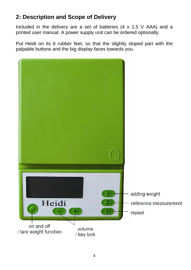## **2: Description and Scope of Delivery**

Included in the delivery are a set of batteries (4 x 1.5 V AAA) and a printed user manual. A power supply unit can be ordered optionally.

Put Heidi on its 6 rubber feet, so that the slightly sloped part with the palpable buttons and the big display faces towards you.

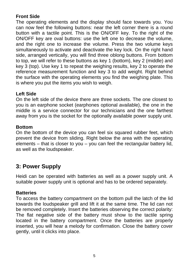#### **Front Side**

The operating elements and the display should face towards you. You can now feel the following buttons: near the left corner there is a round button with a tactile point. This is the ON/OFF key. To the right of the ON/OFF key are oval buttons: use the left one to decrease the volume, and the right one to increase the volume. Press the two volume keys simultaneously to activate and deactivate the key lock. On the right hand side, arranged vertically, you will find three oblong buttons. From bottom to top, we will refer to these buttons as key 1 (bottom), key 2 (middle) and key 3 (top). Use key 1 to repeat the weighing results, key 2 to operate the reference measurement function and key 3 to add weight. Right behind the surface with the operating elements you find the weighing plate. This is where you put the items you wish to weigh.

#### **Left Side**

On the left side of the device there are three sockets. The one closest to you is an earphone socket (earphones optional available), the one in the middle is a service connector for our technicians and the one farthest away from you is the socket for the optionally available power supply unit.

#### **Bottom**

On the bottom of the device you can feel six squared rubber feet, which prevent the device from sliding. Right below the area with the operating elements – that is closer to you – you can feel the rectangular battery lid, as well as the loudspeaker.

### **3: Power Supply**

Heidi can be operated with batteries as well as a power supply unit. A suitable power supply unit is optional and has to be ordered separately.

#### **Batteries**

To access the battery compartment on the bottom pull the latch of the lid towards the loudspeaker grill and lift it at the same time. The lid can not be removed completely. Insert the batteries observing the correct polarity: The flat negative side of the battery must show to the tactile spring located in the battery compartment. Once the batteries are properly inserted, you will hear a melody for confirmation. Close the battery cover gently, until it clicks into place.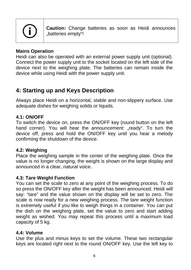

**Caution:** Change batteries as soon as Heidi announces "batteries empty"!

#### **Mains Operation**

Heidi can also be operated with an external power supply unit (optional). Connect the power supply unit to the socket located on the left side of the device next to the weighing plate. The batteries can remain inside the device while using Heidi with the power supply unit.

## **4: Starting up and Keys Description**

Always place Heidi on a horizontal, stable and non-slippery surface. Use adequate dishes for weighing solids or liquids.

#### **4.1: ON/OFF**

To switch the device on, press the ON/OFF key (round button on the left hand corner). You will hear the announcement: "ready". To turn the device off, press and hold the ON/OFF key until you hear a melody confirming the shutdown of the device.

#### **4.2: Weighing**

Place the weighing sample in the center of the weighing plate. Once the value is no longer changing, the weight is shown on the large display and announced in a clear, natural voice.

#### **4.3: Tare Weight Function**

You can set the scale to zero at any point of the weighing process. To do so press the ON/OFF key after the weight has been announced. Heidi will say: "tare" and the value shown on the display will be set to zero. The scale is now ready for a new weighing process. The tare weight function is extremely useful if you like to weigh things in a container. You can put the dish on the weighing plate, set the value to zero and start adding weight as wished. You may repeat this process until a maximum load capacity of 5 kg.

#### **4.4: Volume**

Use the plus and minus keys to set the volume. These two rectangular keys are located right next to the round ON/OFF key. Use the left key to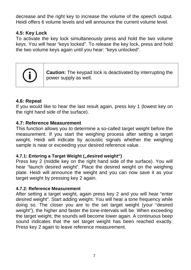decrease and the right key to increase the volume of the speech output. Heidi offers 6 volume levels and will announce the current volume level.

#### **4.5: Key Lock**

To activate the key lock simultaneously press and hold the two volume keys. You will hear "keys locked". To release the key lock, press and hold the two volume keys again until you hear: "keys unlocked".



**Caution:** The keypad lock is deactivated by interrupting the power supply as well.

#### **4.6: Repeat**

If you would like to hear the last result again, press key 1 (lowest key on the right hand side of the surface).

#### **4.7: Reference Measurement**

This function allows you to determine a so-called target weight before the measurement. If you start the weighing process after setting a target weight, Heidi will indicate by acoustic signals whether the weighing sample is near or exceeding your desired reference value.

#### **4.7.1: Entering a Target Weight ("desired weight")**

Press key 2 (middle key on the right hand side of the surface). You will hear "launch desired weight". Place the desired weight on the weighing plate. Heidi will announce the weight and you can now save it as your target weight by pressing key 2 again.

#### **4.7.2: Reference Measurement**

After setting a target weight, again press key 2 and you will hear "enter desired weight". Start adding weight. You will hear a tone frequency while doing so. The closer you are to the set target weight (your "desired weight"), the higher and faster the tone-intervals will be. When exceeding the target weight, the sounds will become lower again. A continuous beep sound indicates that the set target weight has been reached exactly. Press key 2 again to leave reference measurement.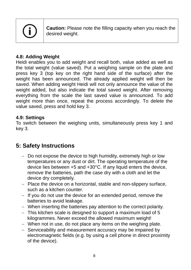

**Caution:** Please note the filling capacity when you reach the desired weight.

#### **4.8: Adding Weight**

Heidi enables you to add weight and recall both, value added as well as the total weight (value saved). Put a weighing sample on the plate and press key 3 (top key on the right hand side of the surface) after the weight has been announced. The already applied weight will then be saved. When adding weight Heidi will not only announce the value of the weight added, but also indicate the total saved weight. After removing everything from the scale the last saved value is announced. To add weight more than once, repeat the process accordingly. To delete the value saved, press and hold key 3.

#### **4.9: Settings**

To switch between the weighing units, simultaneously press key 1 and key 3.

## **5: Safety Instructions**

- Do not expose the device to high humidity, extremely high or low temperatures or any dust or dirt. The operating temperature of the device lies between +5 and +30°C. If any liquid enters the device, remove the batteries, path the case dry with a cloth and let the device dry completely.
- Place the device on a horizontal, stable and non-slippery surface, such as a kitchen counter.
- If you do not use the device for an extended period, remove the batteries to avoid leakage.
- When inserting the batteries pay attention to the correct polarity.
- This kitchen scale is designed to support a maximum load of 5 kilogrammes. Never exceed the allowed maximum weight!
- When not in use, do not place any items on the weighing plate.
- Serviceability and measurement accuracy may be impaired by electromagnetic fields (e.g. by using a cell phone in direct proximity of the device).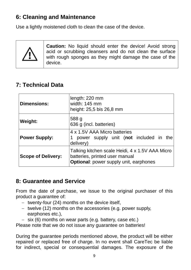## **6: Cleaning and Maintenance**

Use a lightly moistened cloth to clean the case of the device.



**Caution:** No liquid should enter the device! Avoid strong acid or scrubbing cleansers and do not clean the surface with rough sponges as they might damage the case of the device.

## **7: Technical Data**

| <b>Dimensions:</b>        | length: 220 mm<br>width: 145 mm<br>height: 25,5 bis 26,8 mm                                                                 |  |
|---------------------------|-----------------------------------------------------------------------------------------------------------------------------|--|
| <b>Weight:</b>            | 588 g<br>636 g (incl. batteries)                                                                                            |  |
| <b>Power Supply:</b>      | 4 x 1.5V AAA Micro batteries<br>power supply unit (not included in the<br>delivery)                                         |  |
| <b>Scope of Delivery:</b> | Talking kitchen scale Heidi, 4 x 1.5V AAA Micro<br>batteries, printed user manual<br>Optional: power supply unit, earphones |  |

## **8: Guarantee and Service**

From the date of purchase, we issue to the original purchaser of this product a guarantee of:

- $-$  twenty-four (24) months on the device itself,
- twelve  $(12)$  months on the accessories (e.g. power supply, earphones etc.),
- $-$  six (6) months on wear parts (e.g. battery, case etc.)

Please note that we do not issue any guarantee on batteries!

During the guarantee periods mentioned above, the product will be either repaired or replaced free of charge. In no event shall CareTec be liable for indirect, special or consequential damages. The exposure of the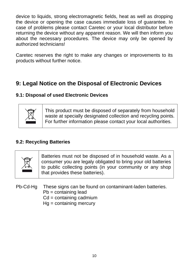device to liquids, strong electromagnetic fields, heat as well as dropping the device or opening the case causes immediate loss of guarantee. In case of problems please contact Caretec or your local distributor before returning the device without any apparent reason. We will then inform you about the necessary procedures. The device may only be opened by authorized technicians!

Caretec reserves the right to make any changes or improvements to its products without further notice.

## **9: Legal Notice on the Disposal of Electronic Devices**

#### **9.1: Disposal of used Electronic Devices**



This product must be disposed of separately from household waste at specially designated collection and recycling points. For further information please contact your local authorities.

#### **9.2: Recycling Batteries**



Batteries must not be disposed of in household waste. As a consumer you are legaly obligated to bring your old batteries to public collecting points (in your community or any shop that provides these batteries).

- Pb-Cd-Hg These signs can be found on contaminant-laden batteries.
	- Pb = containing lead
	- Cd = containing cadmium
	- Hg = containing mercury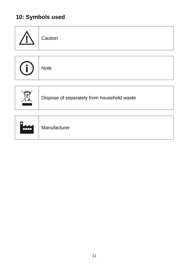## **10: Symbols used**

|     | Caution                                    |
|-----|--------------------------------------------|
| (i, | <b>Note</b>                                |
|     | Dispose of separately from household waste |
| n   |                                            |

| <b>KKI</b> | Manufacturer |
|------------|--------------|
|------------|--------------|